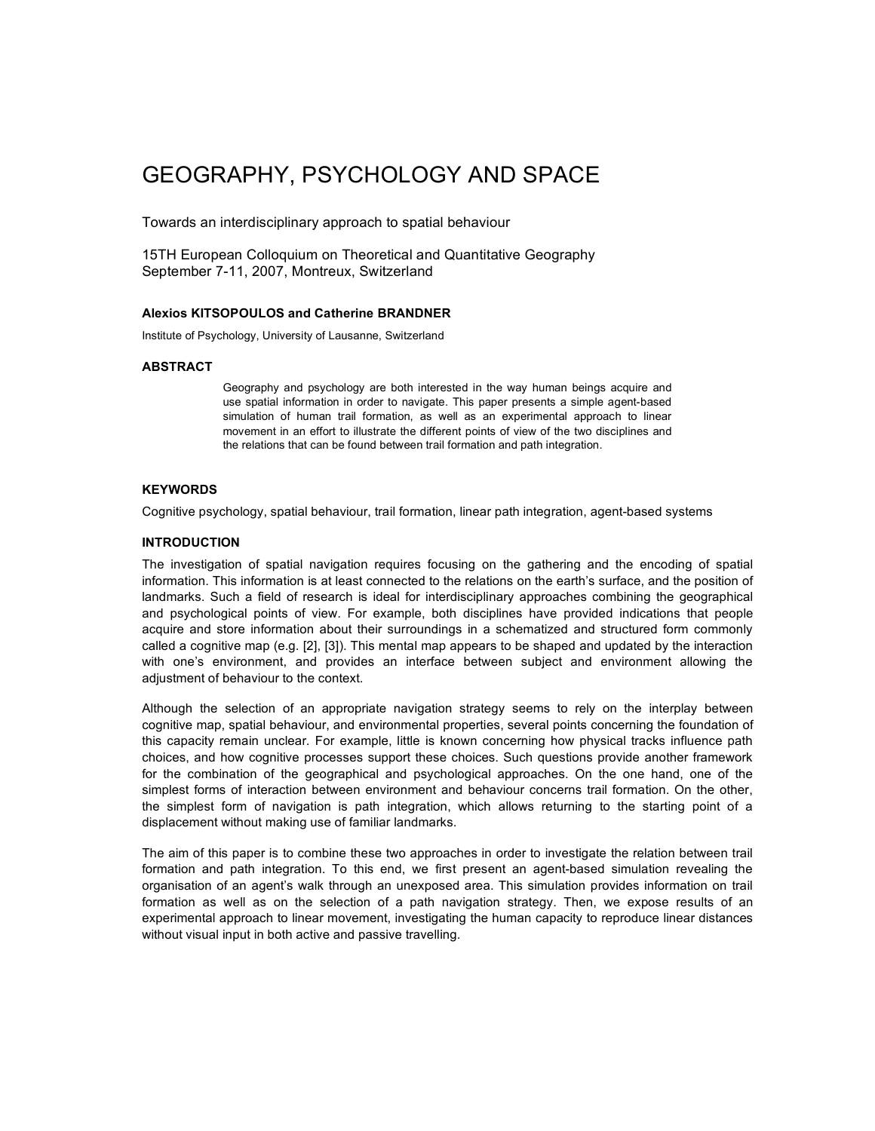# GEOGRAPHY, PSYCHOLOGY AND SPACE

Towards an interdisciplinary approach to spatial behaviour

15TH European Colloquium on Theoretical and Quantitative Geography September 7-11, 2007, Montreux, Switzerland

# **Alexios KITSOPOULOS and Catherine BRANDNER**

Institute of Psychology, University of Lausanne, Switzerland

# **ABSTRACT**

Geography and psychology are both interested in the way human beings acquire and use spatial information in order to navigate. This paper presents a simple agent-based simulation of human trail formation, as well as an experimental approach to linear movement in an effort to illustrate the different points of view of the two disciplines and the relations that can be found between trail formation and path integration.

# **KEYWORDS**

Cognitive psychology, spatial behaviour, trail formation, linear path integration, agent-based systems

# **INTRODUCTION**

The investigation of spatial navigation requires focusing on the gathering and the encoding of spatial information. This information is at least connected to the relations on the earth's surface, and the position of landmarks. Such a field of research is ideal for interdisciplinary approaches combining the geographical and psychological points of view. For example, both disciplines have provided indications that people acquire and store information about their surroundings in a schematized and structured form commonly called a cognitive map (e.g. [2], [3]). This mental map appears to be shaped and updated by the interaction with one's environment, and provides an interface between subject and environment allowing the adjustment of behaviour to the context.

Although the selection of an appropriate navigation strategy seems to rely on the interplay between cognitive map, spatial behaviour, and environmental properties, several points concerning the foundation of this capacity remain unclear. For example, little is known concerning how physical tracks influence path choices, and how cognitive processes support these choices. Such questions provide another framework for the combination of the geographical and psychological approaches. On the one hand, one of the simplest forms of interaction between environment and behaviour concerns trail formation. On the other, the simplest form of navigation is path integration, which allows returning to the starting point of a displacement without making use of familiar landmarks.

The aim of this paper is to combine these two approaches in order to investigate the relation between trail formation and path integration. To this end, we first present an agent-based simulation revealing the organisation of an agent's walk through an unexposed area. This simulation provides information on trail formation as well as on the selection of a path navigation strategy. Then, we expose results of an experimental approach to linear movement, investigating the human capacity to reproduce linear distances without visual input in both active and passive travelling.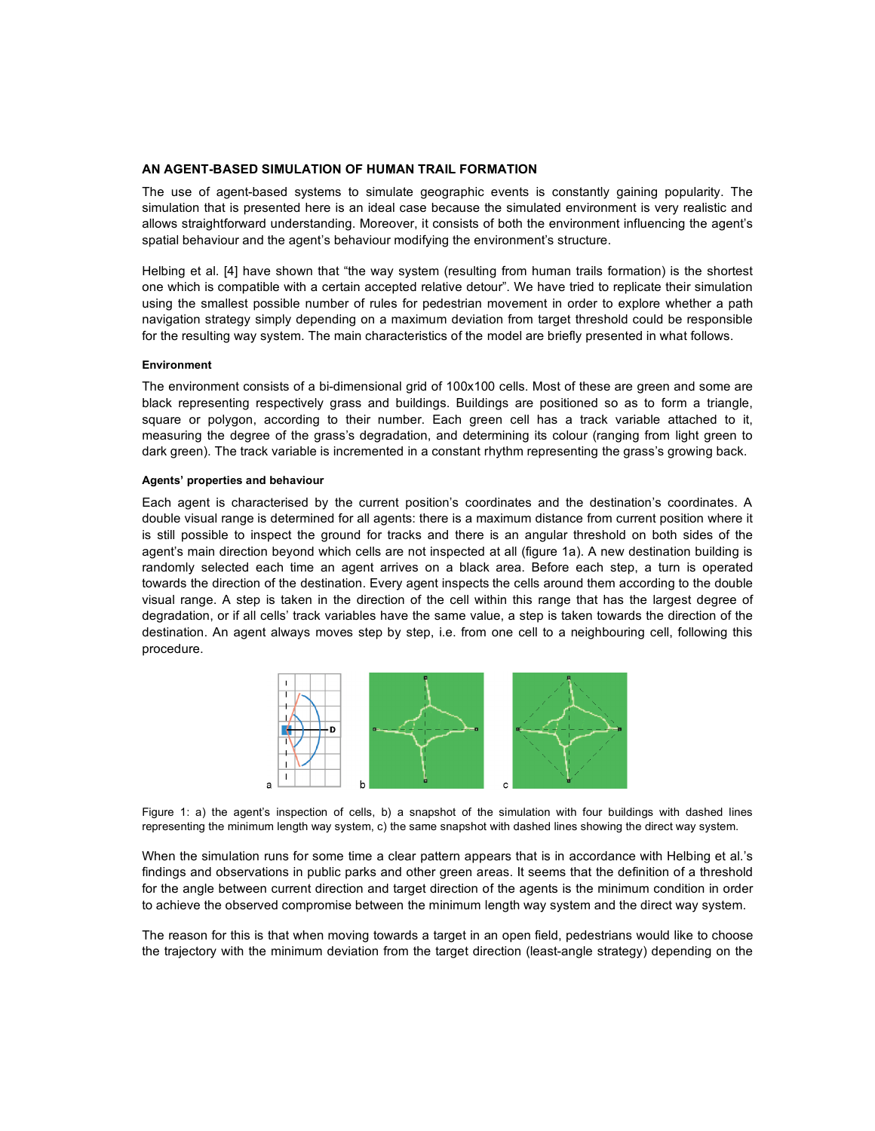# **AN AGENT-BASED SIMULATION OF HUMAN TRAIL FORMATION**

The use of agent-based systems to simulate geographic events is constantly gaining popularity. The simulation that is presented here is an ideal case because the simulated environment is very realistic and allows straightforward understanding. Moreover, it consists of both the environment influencing the agent's spatial behaviour and the agent's behaviour modifying the environment's structure.

Helbing et al. [4] have shown that "the way system (resulting from human trails formation) is the shortest one which is compatible with a certain accepted relative detour". We have tried to replicate their simulation using the smallest possible number of rules for pedestrian movement in order to explore whether a path navigation strategy simply depending on a maximum deviation from target threshold could be responsible for the resulting way system. The main characteristics of the model are briefly presented in what follows.

#### **Environment**

The environment consists of a bi-dimensional grid of 100x100 cells. Most of these are green and some are black representing respectively grass and buildings. Buildings are positioned so as to form a triangle, square or polygon, according to their number. Each green cell has a track variable attached to it, measuring the degree of the grass's degradation, and determining its colour (ranging from light green to dark green). The track variable is incremented in a constant rhythm representing the grass's growing back.

#### **Agents' properties and behaviour**

Each agent is characterised by the current position's coordinates and the destination's coordinates. A double visual range is determined for all agents: there is a maximum distance from current position where it is still possible to inspect the ground for tracks and there is an angular threshold on both sides of the agent's main direction beyond which cells are not inspected at all (figure 1a). A new destination building is randomly selected each time an agent arrives on a black area. Before each step, a turn is operated towards the direction of the destination. Every agent inspects the cells around them according to the double visual range. A step is taken in the direction of the cell within this range that has the largest degree of degradation, or if all cells' track variables have the same value, a step is taken towards the direction of the destination. An agent always moves step by step, i.e. from one cell to a neighbouring cell, following this procedure.



Figure 1: a) the agent's inspection of cells, b) a snapshot of the simulation with four buildings with dashed lines representing the minimum length way system, c) the same snapshot with dashed lines showing the direct way system.

When the simulation runs for some time a clear pattern appears that is in accordance with Helbing et al.'s findings and observations in public parks and other green areas. It seems that the definition of a threshold for the angle between current direction and target direction of the agents is the minimum condition in order to achieve the observed compromise between the minimum length way system and the direct way system.

The reason for this is that when moving towards a target in an open field, pedestrians would like to choose the trajectory with the minimum deviation from the target direction (least-angle strategy) depending on the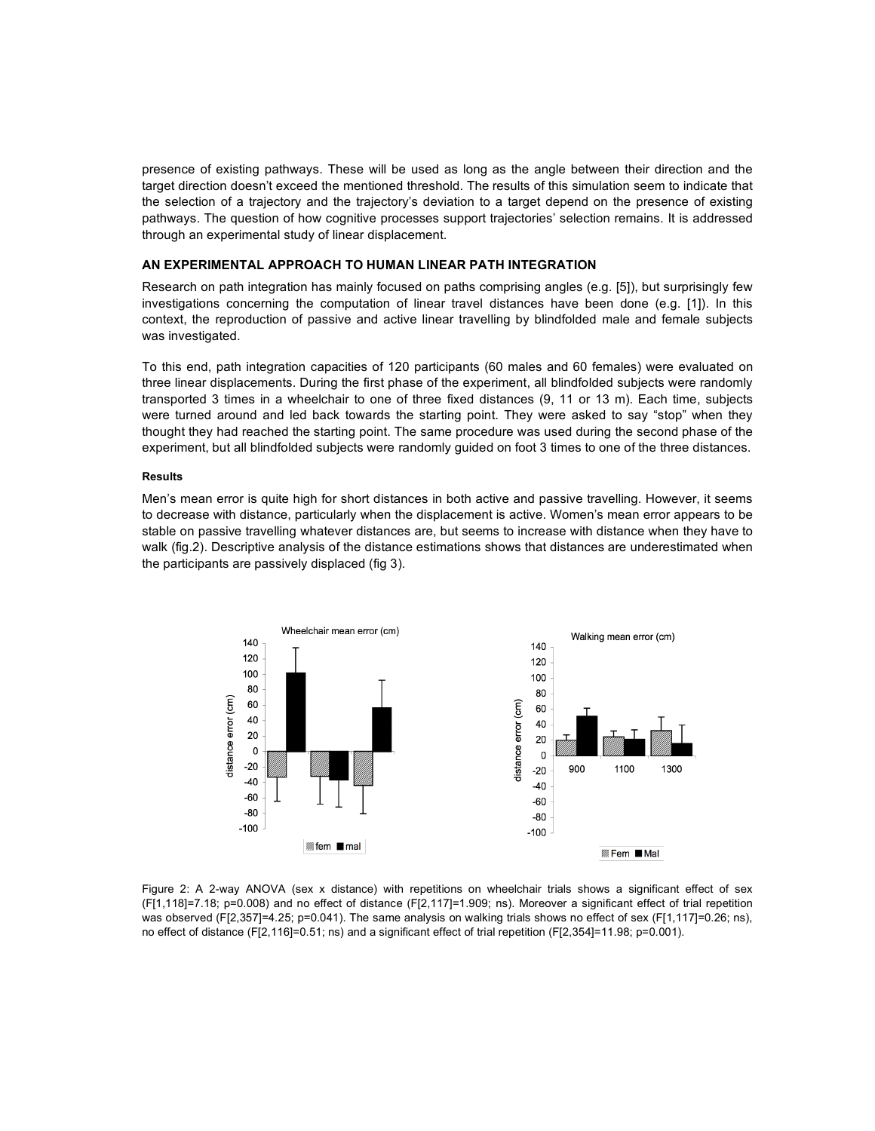presence of existing pathways. These will be used as long as the angle between their direction and the target direction doesn't exceed the mentioned threshold. The results of this simulation seem to indicate that the selection of a trajectory and the trajectory's deviation to a target depend on the presence of existing pathways. The question of how cognitive processes support trajectories' selection remains. It is addressed through an experimental study of linear displacement.

#### **AN EXPERIMENTAL APPROACH TO HUMAN LINEAR PATH INTEGRATION**

Research on path integration has mainly focused on paths comprising angles (e.g. [5]), but surprisingly few investigations concerning the computation of linear travel distances have been done (e.g. [1]). In this context, the reproduction of passive and active linear travelling by blindfolded male and female subjects was investigated.

To this end, path integration capacities of 120 participants (60 males and 60 females) were evaluated on three linear displacements. During the first phase of the experiment, all blindfolded subjects were randomly transported 3 times in a wheelchair to one of three fixed distances (9, 11 or 13 m). Each time, subjects were turned around and led back towards the starting point. They were asked to say "stop" when they thought they had reached the starting point. The same procedure was used during the second phase of the experiment, but all blindfolded subjects were randomly guided on foot 3 times to one of the three distances.

#### **Results**

Men's mean error is quite high for short distances in both active and passive travelling. However, it seems to decrease with distance, particularly when the displacement is active. Women's mean error appears to be stable on passive travelling whatever distances are, but seems to increase with distance when they have to walk (fig.2). Descriptive analysis of the distance estimations shows that distances are underestimated when the participants are passively displaced (fig 3).



Figure 2: A 2-way ANOVA (sex x distance) with repetitions on wheelchair trials shows a significant effect of sex (F[1,118]=7.18; p=0.008) and no effect of distance (F[2,117]=1.909; ns). Moreover a significant effect of trial repetition was observed (F[2,357]=4.25; p=0.041). The same analysis on walking trials shows no effect of sex (F[1,117]=0.26; ns), no effect of distance (F[2,116]=0.51; ns) and a significant effect of trial repetition (F[2,354]=11.98; p=0.001).